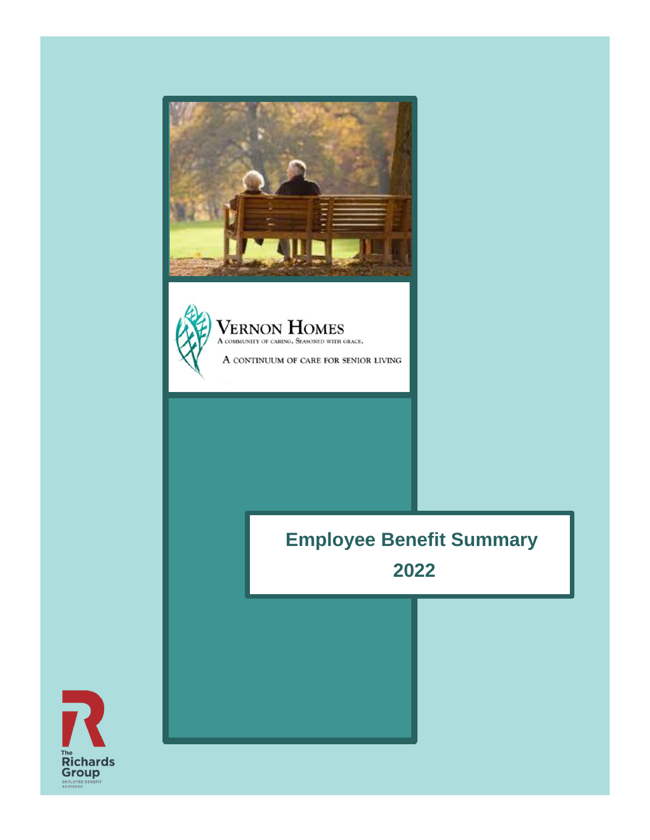



**Employee Benefit Summary 2022**

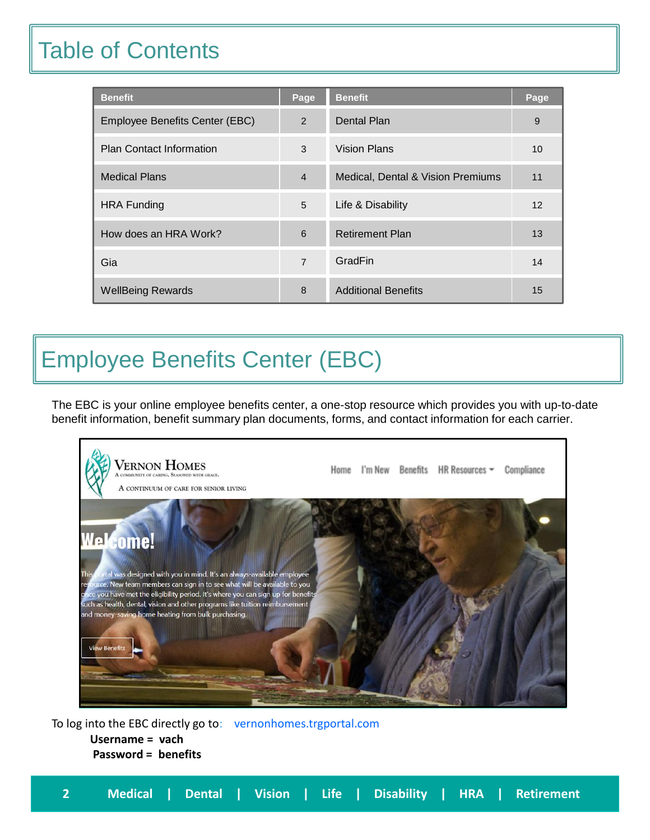## Table of Contents

| <b>Benefit</b>                  | Page           | <b>Benefit</b>                    | Page |
|---------------------------------|----------------|-----------------------------------|------|
| Employee Benefits Center (EBC)  | 2              | <b>Dental Plan</b>                | 9    |
| <b>Plan Contact Information</b> | 3              | Vision Plans                      | 10   |
| <b>Medical Plans</b>            | $\overline{4}$ | Medical, Dental & Vision Premiums | 11   |
| <b>HRA Funding</b>              | 5              | Life & Disability                 | 12   |
| How does an HRA Work?           | 6              | <b>Retirement Plan</b>            | 13   |
| Gia                             | $\overline{7}$ | GradFin                           | 14   |
| <b>WellBeing Rewards</b>        | 8              | <b>Additional Benefits</b>        | 15   |

# Employee Benefits Center (EBC)

The EBC is your online employee benefits center, a one-stop resource which provides you with up-to-date benefit information, benefit summary plan documents, forms, and contact information for each carrier.



To log into the EBC directly go to: vernonhomes.trgportal.com **Username = vach Password = benefits**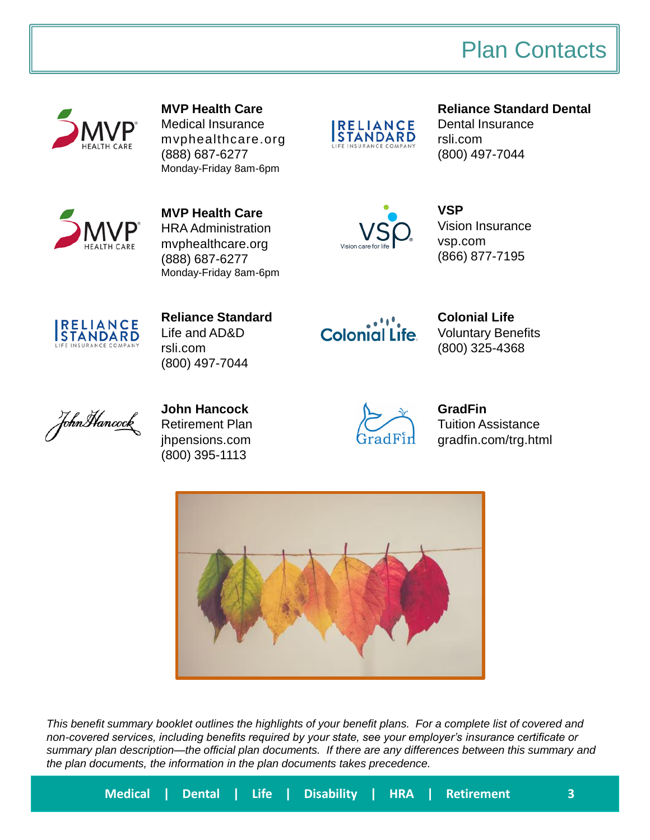### Plan Contacts



**MVP Health Care** Medical Insurance mvphealthcare.org (888) 687-6277 Monday-Friday 8am-6pm



**Reliance Standard Dental** Dental Insurance rsli.com



**MVP Health Care** HRA Administration mvphealthcare.org (888) 687-6277 Monday-Friday 8am-6pm



**VSP**  Vision Insurance vsp.com (866) 877-7195

(800) 497-7044



**Reliance Standard** Life and AD&D rsli.com (800) 497-7044



**Colonial Life** Voluntary Benefits (800) 325-4368



**John Hancock** Retirement Plan jhpensions.com (800) 395-1113



**GradFin** Tuition Assistance gradfin.com/trg.html



*This benefit summary booklet outlines the highlights of your benefit plans. For a complete list of covered and non-covered services, including benefits required by your state, see your employer's insurance certificate or summary plan description—the official plan documents. If there are any differences between this summary and the plan documents, the information in the plan documents takes precedence.*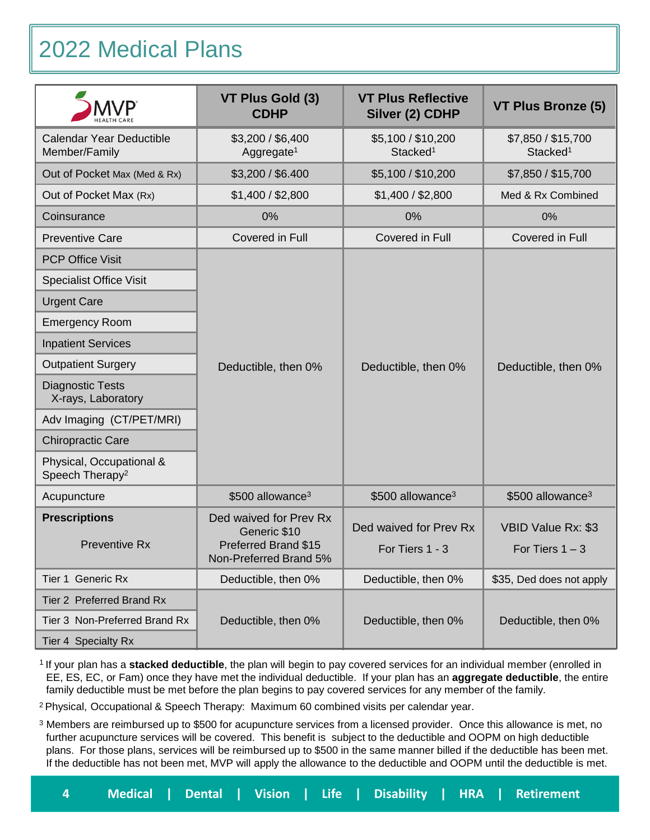# 2022 Medical Plans

|                                                         | VT Plus Gold (3)<br><b>CDHP</b>                                                          | <b>VT Plus Reflective</b><br>Silver (2) CDHP | VT Plus Bronze (5)                         |
|---------------------------------------------------------|------------------------------------------------------------------------------------------|----------------------------------------------|--------------------------------------------|
| Calendar Year Deductible<br>Member/Family               | \$3,200 / \$6,400<br>Aggregate <sup>1</sup>                                              | \$5,100 / \$10,200<br>Stacked <sup>1</sup>   | \$7,850 / \$15,700<br>Stacked <sup>1</sup> |
| Out of Pocket Max (Med & Rx)                            | \$3,200 / \$6.400                                                                        | \$5,100 / \$10,200                           | \$7,850 / \$15,700                         |
| Out of Pocket Max (Rx)                                  | \$1,400 / \$2,800                                                                        | \$1,400 / \$2,800                            | Med & Rx Combined                          |
| Coinsurance                                             | 0%                                                                                       | 0%                                           | 0%                                         |
| <b>Preventive Care</b>                                  | Covered in Full                                                                          | Covered in Full                              | Covered in Full                            |
| <b>PCP Office Visit</b>                                 |                                                                                          |                                              |                                            |
| <b>Specialist Office Visit</b>                          |                                                                                          |                                              |                                            |
| <b>Urgent Care</b>                                      |                                                                                          |                                              |                                            |
| <b>Emergency Room</b>                                   |                                                                                          |                                              |                                            |
| <b>Inpatient Services</b>                               |                                                                                          |                                              |                                            |
| <b>Outpatient Surgery</b>                               | Deductible, then 0%                                                                      | Deductible, then 0%                          | Deductible, then 0%                        |
| <b>Diagnostic Tests</b><br>X-rays, Laboratory           |                                                                                          |                                              |                                            |
| Adv Imaging (CT/PET/MRI)                                |                                                                                          |                                              |                                            |
| <b>Chiropractic Care</b>                                |                                                                                          |                                              |                                            |
| Physical, Occupational &<br>Speech Therapy <sup>2</sup> |                                                                                          |                                              |                                            |
| Acupuncture                                             | \$500 allowance <sup>3</sup>                                                             | \$500 allowance <sup>3</sup>                 | \$500 allowance <sup>3</sup>               |
| <b>Prescriptions</b><br><b>Preventive Rx</b>            | Ded waived for Prev Rx<br>Generic \$10<br>Preferred Brand \$15<br>Non-Preferred Brand 5% | Ded waived for Prev Rx<br>For Tiers 1 - 3    | VBID Value Rx: \$3<br>For Tiers $1 - 3$    |
| Tier 1 Generic Rx                                       | Deductible, then 0%                                                                      | Deductible, then 0%                          | \$35, Ded does not apply                   |
| Tier 2 Preferred Brand Rx                               |                                                                                          |                                              |                                            |
| Tier 3 Non-Preferred Brand Rx                           | Deductible, then 0%                                                                      | Deductible, then 0%                          | Deductible, then 0%                        |
| Tier 4 Specialty Rx                                     |                                                                                          |                                              |                                            |

<sup>1</sup> If your plan has a stacked deductible, the plan will begin to pay covered services for an individual member (enrolled in EE, ES, EC, or Fam) once they have met the individual deductible. If your plan has an **aggregate deductible**, the entire family deductible must be met before the plan begins to pay covered services for any member of the family.

<sup>2</sup> Physical, Occupational & Speech Therapy: Maximum 60 combined visits per calendar year.

<sup>3</sup> Members are reimbursed up to \$500 for acupuncture services from a licensed provider. Once this allowance is met, no further acupuncture services will be covered. This benefit is subject to the deductible and OOPM on high deductible plans. For those plans, services will be reimbursed up to \$500 in the same manner billed if the deductible has been met. If the deductible has not been met, MVP will apply the allowance to the deductible and OOPM until the deductible is met.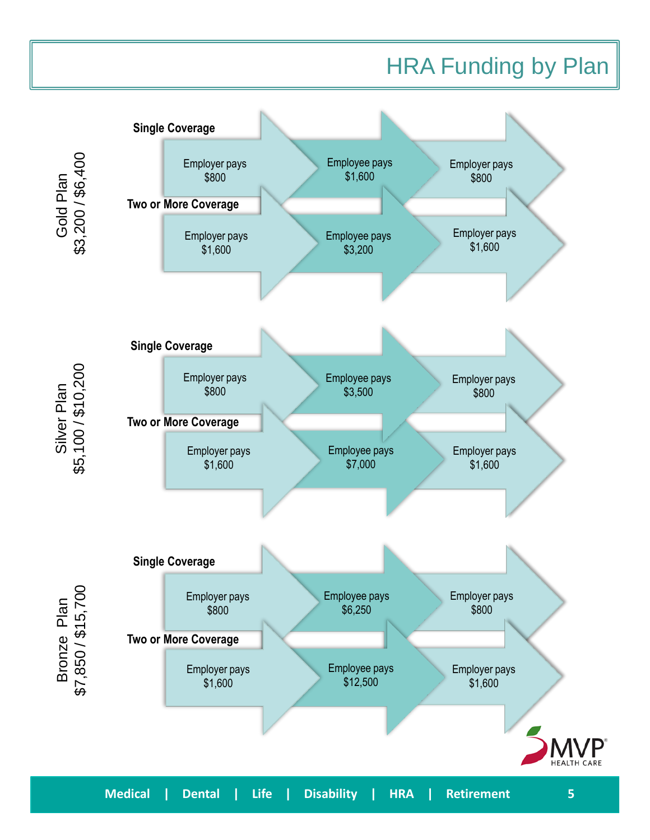### HRA Funding by Plan

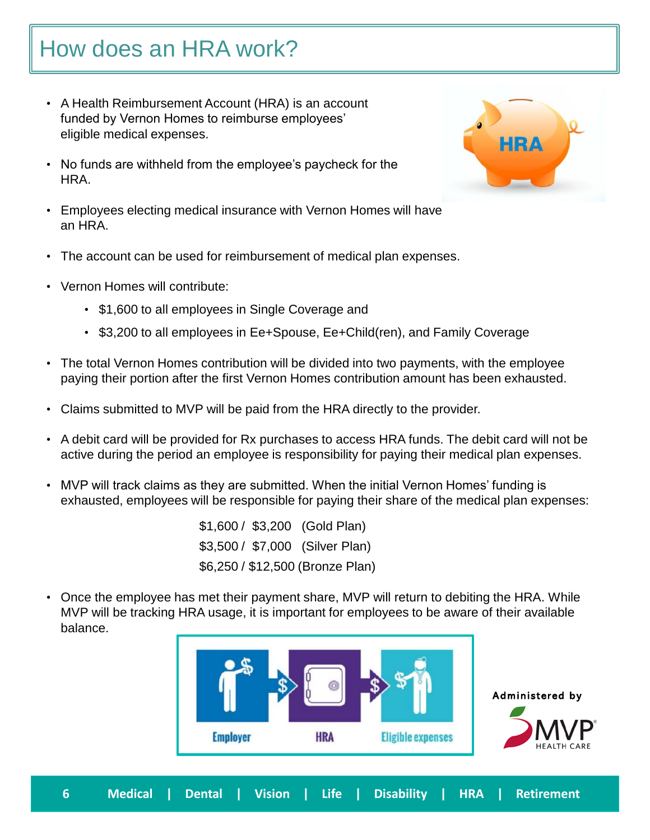# How does an HRA work?

- A Health Reimbursement Account (HRA) is an account funded by Vernon Homes to reimburse employees' eligible medical expenses.
- No funds are withheld from the employee's paycheck for the HRA.
- Employees electing medical insurance with Vernon Homes will have an HRA.
- The account can be used for reimbursement of medical plan expenses.
- Vernon Homes will contribute:
	- \$1,600 to all employees in Single Coverage and
	- \$3,200 to all employees in Ee+Spouse, Ee+Child(ren), and Family Coverage
- The total Vernon Homes contribution will be divided into two payments, with the employee paying their portion after the first Vernon Homes contribution amount has been exhausted.
- Claims submitted to MVP will be paid from the HRA directly to the provider.
- A debit card will be provided for Rx purchases to access HRA funds. The debit card will not be active during the period an employee is responsibility for paying their medical plan expenses.
- MVP will track claims as they are submitted. When the initial Vernon Homes' funding is exhausted, employees will be responsible for paying their share of the medical plan expenses:

\$1,600 / \$3,200 (Gold Plan) \$3,500 / \$7,000 (Silver Plan) \$6,250 / \$12,500 (Bronze Plan)

• Once the employee has met their payment share, MVP will return to debiting the HRA. While MVP will be tracking HRA usage, it is important for employees to be aware of their available balance.



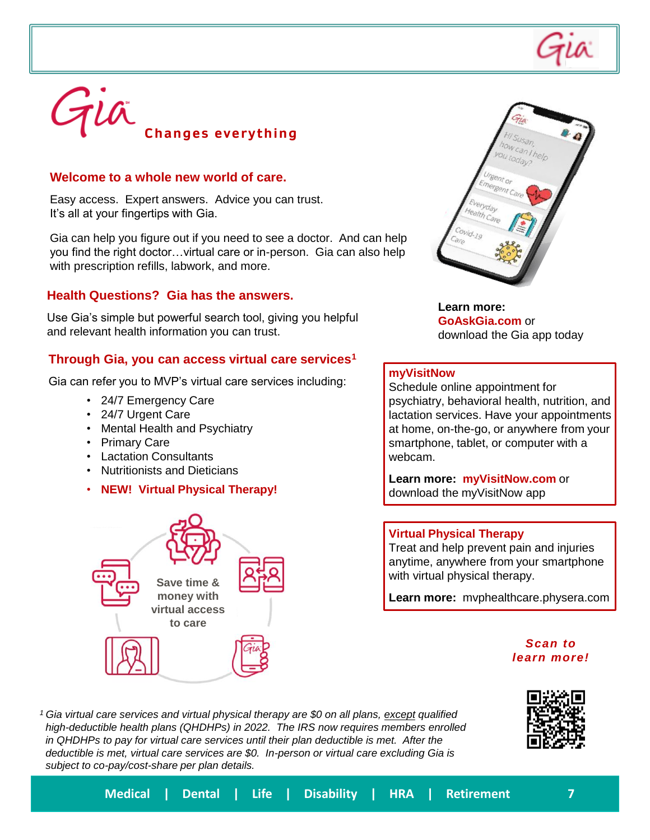

# Gia **Changes everything**

### **Welcome to a whole new world of care.**

Easy access. Expert answers. Advice you can trust. It's all at your fingertips with Gia.

Gia can help you figure out if you need to see a doctor. And can help you find the right doctor…virtual care or in-person. Gia can also help with prescription refills, labwork, and more.

### **Health Questions? Gia has the answers.**

Use Gia's simple but powerful search tool, giving you helpful and relevant health information you can trust.

### **Through Gia, you can access virtual care services<sup>1</sup>**

Gia can refer you to MVP's virtual care services including:

- 24/7 Emergency Care
- 24/7 Urgent Care
- Mental Health and Psychiatry
- Primary Care
- Lactation Consultants
- Nutritionists and Dieticians
- **NEW! Virtual Physical Therapy!**





**Learn more: GoAskGia.com** or download the Gia app today

#### **myVisitNow**

Schedule online appointment for psychiatry, behavioral health, nutrition, and lactation services. Have your appointments at home, on-the-go, or anywhere from your smartphone, tablet, or computer with a webcam.

**Learn more: myVisitNow.com** or download the myVisitNow app

#### **Virtual Physical Therapy**

Treat and help prevent pain and injuries anytime, anywhere from your smartphone with virtual physical therapy.

**Learn more:** mvphealthcare.physera.com

#### *Scan to learn more!*

*<sup>1</sup>Gia virtual care services and virtual physical therapy are \$0 on all plans, except qualified high-deductible health plans (QHDHPs) in 2022. The IRS now requires members enrolled in QHDHPs to pay for virtual care services until their plan deductible is met. After the deductible is met, virtual care services are \$0. In-person or virtual care excluding Gia is subject to co-pay/cost-share per plan details.*

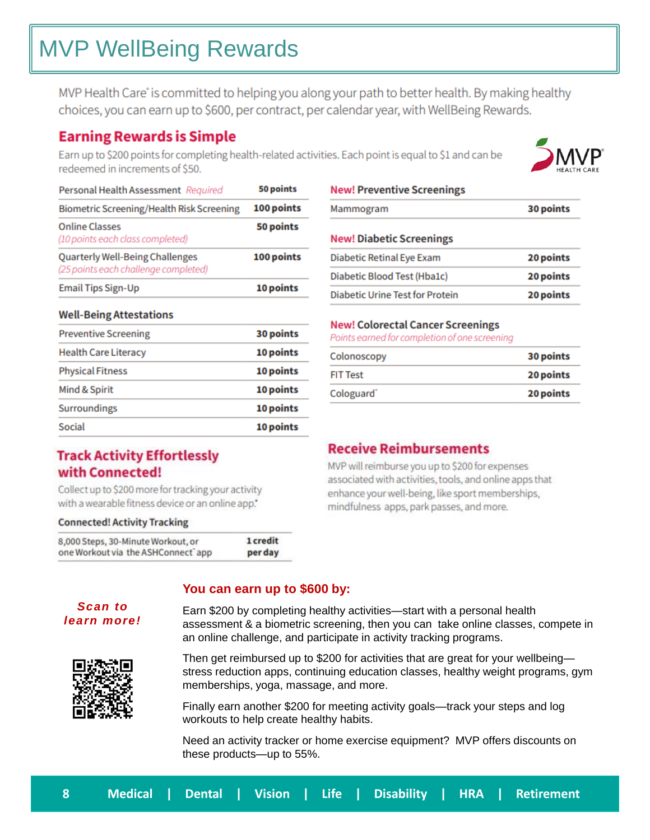# MVP WellBeing Rewards

MVP Health Care' is committed to helping you along your path to better health. By making healthy choices, you can earn up to \$600, per contract, per calendar year, with WellBeing Rewards.

### **Earning Rewards is Simple**

Earn up to \$200 points for completing health-related activities. Each point is equal to \$1 and can be redeemed in increments of \$50.

10 points



### **Well-Being Attestations**

**Email Tips Sign-Up** 

| <b>Preventive Screening</b> | 30 points |
|-----------------------------|-----------|
| <b>Health Care Literacy</b> | 10 points |
| <b>Physical Fitness</b>     | 10 points |
| Mind & Spirit               | 10 points |
| Surroundings                | 10 points |
| Social                      | 10 points |
|                             |           |

### **Track Activity Effortlessly** with Connected!

Collect up to \$200 more for tracking your activity with a wearable fitness device or an online app."

### **Connected! Activity Tracking**

| 8,000 Steps, 30-Minute Workout, or | 1 credit |
|------------------------------------|----------|
| one Workout via the ASHConnect app | perday   |

| Mammogram                | 30 points |
|--------------------------|-----------|
| Nowl Diabotic Scroonings |           |

| <b>NEW: DIADELIC SCIEEIIIIIKS</b>      |           |
|----------------------------------------|-----------|
| Diabetic Retinal Eye Exam              | 20 points |
| Diabetic Blood Test (Hba1c)            | 20 points |
| <b>Diabetic Urine Test for Protein</b> | 20 points |

### **New! Colorectal Cancer Screenings**

Points earned for completion of one screening

| Colonoscopy            | 30 points |
|------------------------|-----------|
| FIT Test               | 20 points |
| Cologuard <sup>*</sup> | 20 points |
|                        |           |

### **Receive Reimbursements**

MVP will reimburse you up to \$200 for expenses associated with activities, tools, and online apps that enhance your well-being, like sport memberships, mindfulness apps, park passes, and more.

### **You can earn up to \$600 by:**

Earn \$200 by completing healthy activities—start with a personal health assessment & a biometric screening, then you can take online classes, compete in an online challenge, and participate in activity tracking programs.



*Scan to learn more!*

> Then get reimbursed up to \$200 for activities that are great for your wellbeing stress reduction apps, continuing education classes, healthy weight programs, gym memberships, yoga, massage, and more.

Finally earn another \$200 for meeting activity goals—track your steps and log workouts to help create healthy habits.

Need an activity tracker or home exercise equipment? MVP offers discounts on these products—up to 55%.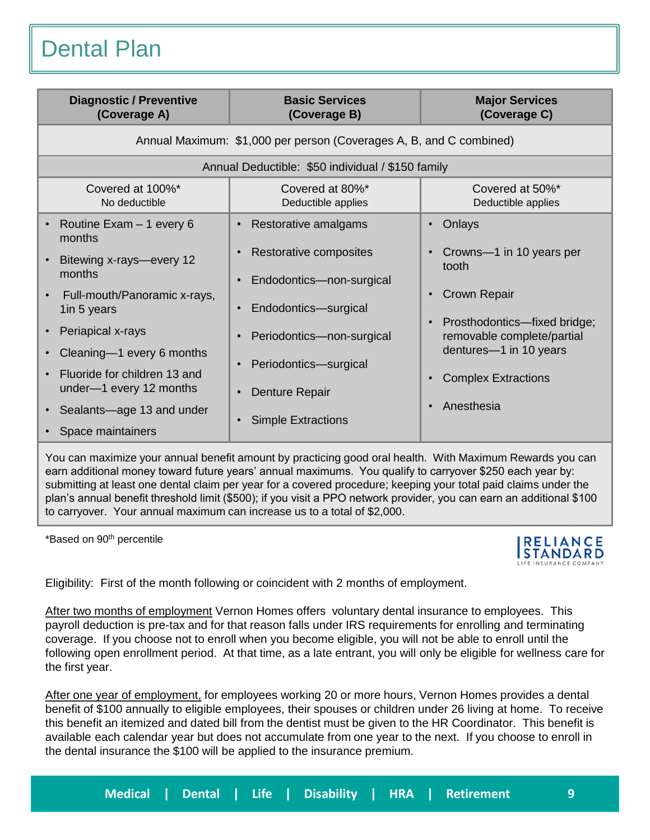Dental Plan

| <b>Diagnostic / Preventive</b><br>(Coverage A)                                                                                                                                                                                                                             | <b>Basic Services</b><br>(Coverage B)                                                                                                                                 | <b>Major Services</b><br>(Coverage C)                                                                                                                                                                   |
|----------------------------------------------------------------------------------------------------------------------------------------------------------------------------------------------------------------------------------------------------------------------------|-----------------------------------------------------------------------------------------------------------------------------------------------------------------------|---------------------------------------------------------------------------------------------------------------------------------------------------------------------------------------------------------|
|                                                                                                                                                                                                                                                                            | Annual Maximum: \$1,000 per person (Coverages A, B, and C combined)                                                                                                   |                                                                                                                                                                                                         |
|                                                                                                                                                                                                                                                                            | Annual Deductible: \$50 individual / \$150 family                                                                                                                     |                                                                                                                                                                                                         |
| Covered at 100%*<br>No deductible                                                                                                                                                                                                                                          | Covered at 80%*<br>Deductible applies                                                                                                                                 | Covered at 50%*<br>Deductible applies                                                                                                                                                                   |
| Routine Exam - 1 every 6<br>$\bullet$<br>months<br>Bitewing x-rays-every 12<br>months<br>Full-mouth/Panoramic x-rays,<br>$\bullet$<br>1in 5 years<br>Periapical x-rays<br>$\bullet$<br>Cleaning-1 every 6 months<br>$\bullet$<br>Fluoride for children 13 and<br>$\bullet$ | Restorative amalgams<br>Restorative composites<br>Endodontics-non-surgical<br>Endodontics-surgical<br>$\bullet$<br>Periodontics-non-surgical<br>Periodontics-surgical | Onlays<br>$\bullet$<br>• Crowns-1 in 10 years per<br>tooth<br><b>Crown Repair</b><br>Prosthodontics-fixed bridge;<br>removable complete/partial<br>dentures-1 in 10 years<br><b>Complex Extractions</b> |
| under-1 every 12 months<br>Sealants-age 13 and under<br>$\bullet$<br>Space maintainers<br>$\bullet$                                                                                                                                                                        | Denture Repair<br><b>Simple Extractions</b>                                                                                                                           | Anesthesia                                                                                                                                                                                              |

You can maximize your annual benefit amount by practicing good oral health. With Maximum Rewards you can earn additional money toward future years' annual maximums. You qualify to carryover \$250 each year by: submitting at least one dental claim per year for a covered procedure; keeping your total paid claims under the plan's annual benefit threshold limit (\$500); if you visit a PPO network provider, you can earn an additional \$100 to carryover. Your annual maximum can increase us to a total of \$2,000.

\*Based on 90th percentile



Eligibility: First of the month following or coincident with 2 months of employment.

After two months of employment Vernon Homes offers voluntary dental insurance to employees. This payroll deduction is pre-tax and for that reason falls under IRS requirements for enrolling and terminating coverage. If you choose not to enroll when you become eligible, you will not be able to enroll until the following open enrollment period. At that time, as a late entrant, you will only be eligible for wellness care for the first year.

After one year of employment, for employees working 20 or more hours, Vernon Homes provides a dental benefit of \$100 annually to eligible employees, their spouses or children under 26 living at home. To receive this benefit an itemized and dated bill from the dentist must be given to the HR Coordinator. This benefit is available each calendar year but does not accumulate from one year to the next. If you choose to enroll in the dental insurance the \$100 will be applied to the insurance premium.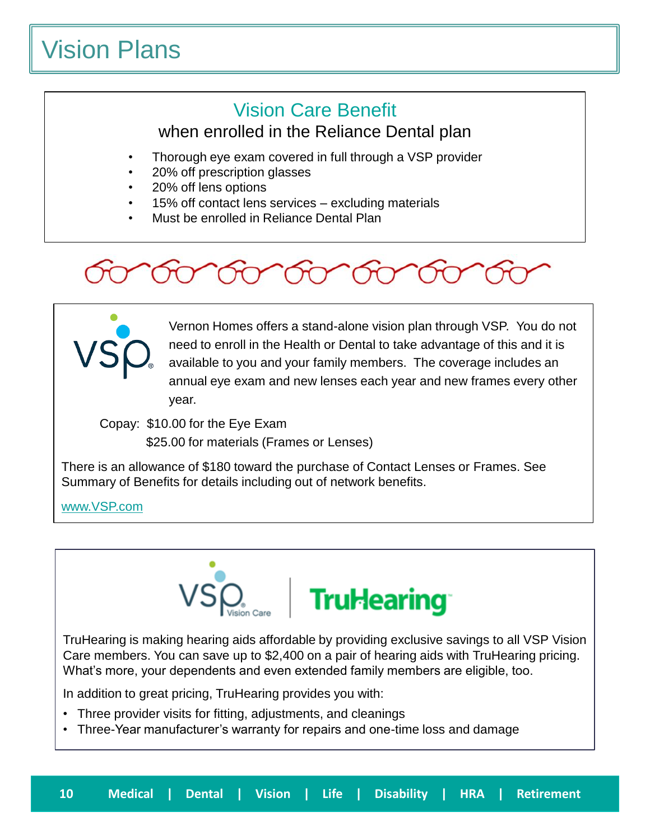# Vision Plans

### Vision Care Benefit

when enrolled in the Reliance Dental plan

- Thorough eye exam covered in full through a VSP provider
- 20% off prescription glasses
- 20% off lens options
	- 15% off contact lens services excluding materials
	- Must be enrolled in Reliance Dental Plan





Vernon Homes offers a stand-alone vision plan through VSP. You do not need to enroll in the Health or Dental to take advantage of this and it is available to you and your family members. The coverage includes an annual eye exam and new lenses each year and new frames every other year.

Copay: \$10.00 for the Eye Exam \$25.00 for materials (Frames or Lenses)

There is an allowance of \$180 toward the purchase of Contact Lenses or Frames. See

Summary of Benefits for details including out of network benefits.

[www.VSP.com](http://www.vsp.com/)



TruHearing is making hearing aids affordable by providing exclusive savings to all VSP Vision Care members. You can save up to \$2,400 on a pair of hearing aids with TruHearing pricing. What's more, your dependents and even extended family members are eligible, too.

In addition to great pricing, TruHearing provides you with:

- Three provider visits for fitting, adjustments, and cleanings
- Three-Year manufacturer's warranty for repairs and one-time loss and damage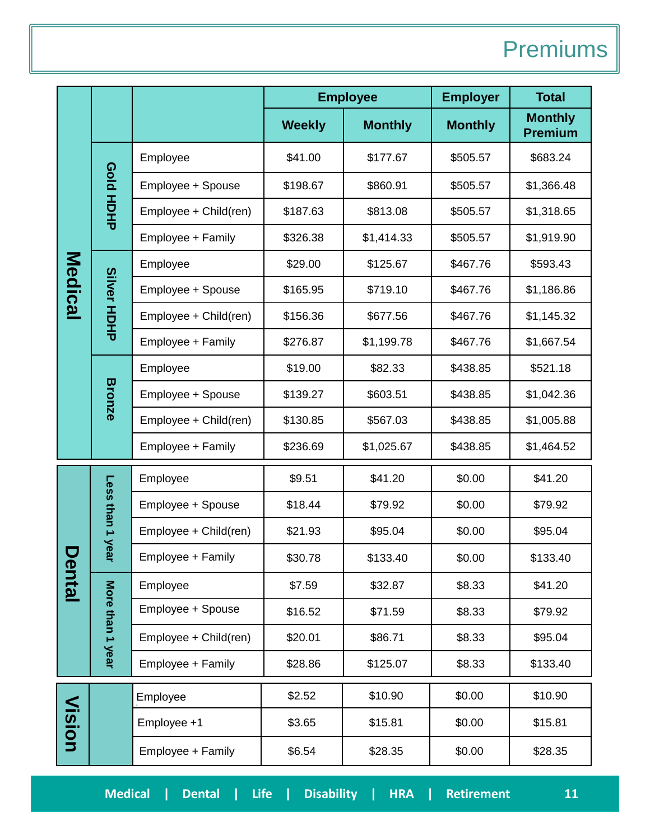## **Premiums**

|               |                    |                       | <b>Employee</b> |                | <b>Employer</b> | <b>Total</b>                     |
|---------------|--------------------|-----------------------|-----------------|----------------|-----------------|----------------------------------|
|               |                    |                       | <b>Weekly</b>   | <b>Monthly</b> | <b>Monthly</b>  | <b>Monthly</b><br><b>Premium</b> |
|               |                    | Employee              | \$41.00         | \$177.67       | \$505.57        | \$683.24                         |
|               | <b>Gold</b>        | Employee + Spouse     | \$198.67        | \$860.91       | \$505.57        | \$1,366.48                       |
|               | HOHP               | Employee + Child(ren) | \$187.63        | \$813.08       | \$505.57        | \$1,318.65                       |
|               |                    | Employee + Family     | \$326.38        | \$1,414.33     | \$505.57        | \$1,919.90                       |
|               |                    | Employee              | \$29.00         | \$125.67       | \$467.76        | \$593.43                         |
| Medical       | <b>Silver HDHP</b> | Employee + Spouse     | \$165.95        | \$719.10       | \$467.76        | \$1,186.86                       |
|               |                    | Employee + Child(ren) | \$156.36        | \$677.56       | \$467.76        | \$1,145.32                       |
|               |                    | Employee + Family     | \$276.87        | \$1,199.78     | \$467.76        | \$1,667.54                       |
|               |                    | Employee              | \$19.00         | \$82.33        | \$438.85        | \$521.18                         |
|               | <b>Bronze</b>      | Employee + Spouse     | \$139.27        | \$603.51       | \$438.85        | \$1,042.36                       |
|               |                    | Employee + Child(ren) | \$130.85        | \$567.03       | \$438.85        | \$1,005.88                       |
|               |                    | Employee + Family     | \$236.69        | \$1,025.67     | \$438.85        | \$1,464.52                       |
|               |                    | Employee              | \$9.51          | \$41.20        | \$0.00          | \$41.20                          |
|               | Less than 1        | Employee + Spouse     | \$18.44         | \$79.92        | \$0.00          | \$79.92                          |
|               |                    | Employee + Child(ren) | \$21.93         | \$95.04        | \$0.00          | \$95.04                          |
|               | <b>year</b>        | Employee + Family     | \$30.78         | \$133.40       | \$0.00          | \$133.40                         |
| <b>Jental</b> |                    | Employee              | \$7.59          | \$32.87        | \$8.33          | \$41.20                          |
|               |                    | Employee + Spouse     | \$16.52         | \$71.59        | \$8.33          | \$79.92                          |
|               | More than 1 year   | Employee + Child(ren) | \$20.01         | \$86.71        | \$8.33          | \$95.04                          |
|               |                    | Employee + Family     | \$28.86         | \$125.07       | \$8.33          | \$133.40                         |
|               |                    | Employee              | \$2.52          | \$10.90        | \$0.00          | \$10.90                          |
| Vision        |                    | Employee +1           | \$3.65          | \$15.81        | \$0.00          | \$15.81                          |
|               |                    | Employee + Family     | \$6.54          | \$28.35        | \$0.00          | \$28.35                          |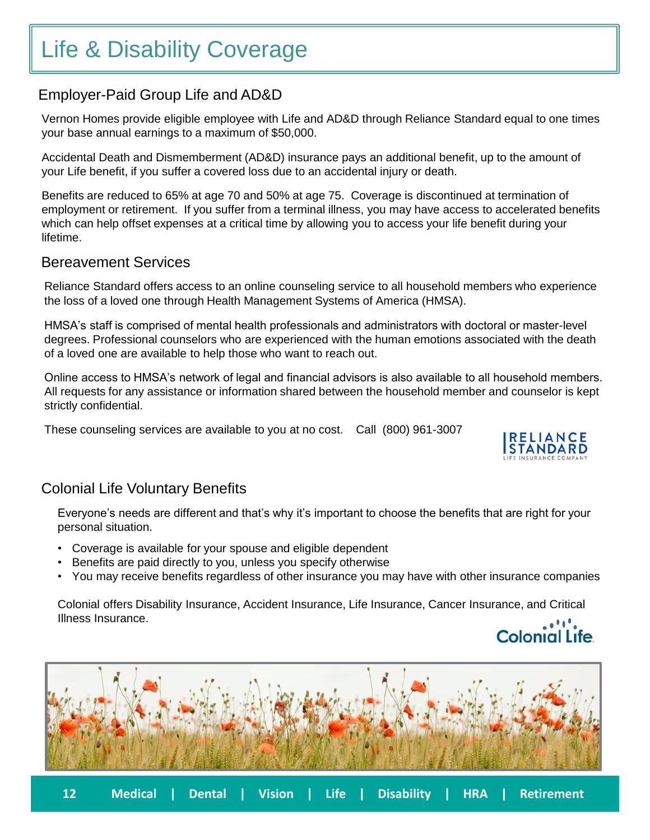# Life & Disability Coverage

### Employer-Paid Group Life and AD&D

Vernon Homes provide eligible employee with Life and AD&D through Reliance Standard equal to one times your base annual earnings to a maximum of \$50,000.

Accidental Death and Dismemberment (AD&D) insurance pays an additional benefit, up to the amount of your Life benefit, if you suffer a covered loss due to an accidental injury or death.

**Medical | Dental | Life | Disability | HSA | Retirement 3xxxxxxx**  Benefits are reduced to 65% at age 70 and 50% at age 75. Coverage is discontinued at termination of employment or retirement. If you suffer from a terminal illness, you may have access to accelerated benefits which can help offset expenses at a critical time by allowing you to access your life benefit during your lifetime.

### Bereavement Services

Reliance Standard offers access to an online counseling service to all household members who experience the loss of a loved one through Health Management Systems of America (HMSA).

HMSA's staff is comprised of mental health professionals and administrators with doctoral or master-level degrees. Professional counselors who are experienced with the human emotions associated with the death of a loved one are available to help those who want to reach out.

Online access to HMSA's network of legal and financial advisors is also available to all household members. All requests for any assistance or information shared between the household member and counselor is kept strictly confidential.

These counseling services are available to you at no cost. Call (800) 961-3007



### Colonial Life Voluntary Benefits

Everyone's needs are different and that's why it's important to choose the benefits that are right for your personal situation.

- Coverage is available for your spouse and eligible dependent
- Benefits are paid directly to you, unless you specify otherwise
- You may receive benefits regardless of other insurance you may have with other insurance companies

Colonial offers Disability Insurance, Accident Insurance, Life Insurance, Cancer Insurance, and Critical Illness Insurance. . . . . . .



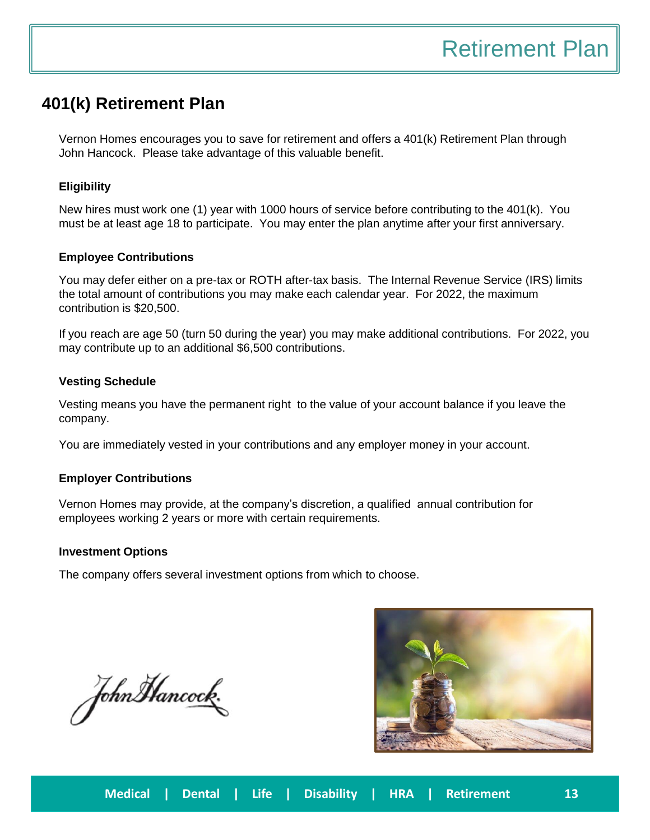### **401(k) Retirement Plan**

Vernon Homes encourages you to save for retirement and offers a 401(k) Retirement Plan through John Hancock. Please take advantage of this valuable benefit.

#### $\mathbf{H}$ **Eligibility**

New hires must work one (1) year with 1000 hours of service before contributing to the 401(k). You must be at least age 18 to participate. You may enter the plan anytime after your first anniversary.

### **Employee Contributions**

You may defer either on a pre-tax or ROTH after-tax basis. The Internal Revenue Service (IRS) limits the total amount of contributions you may make each calendar year. For 2022, the maximum contribution is \$20,500.

If you reach are age 50 (turn 50 during the year) you may make additional contributions. For 2022, you may contribute up to an additional \$6,500 contributions.

#### **Vesting Schedule**

Vesting means you have the permanent right to the value of your account balance if you leave the company.

You are immediately vested in your contributions and any employer money in your account.

### **Employer Contributions**

Vernon Homes may provide, at the company's discretion, a qualified annual contribution for employees working 2 years or more with certain requirements.

#### **Investment Options**

The company offers several investment options from which to choose.

John Mancock.

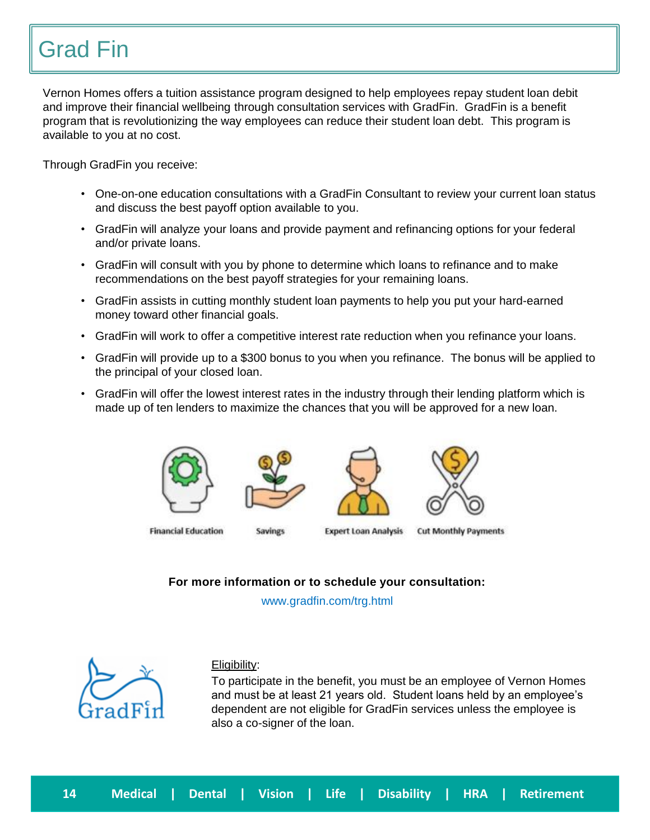# Grad Fin

Vernon Homes offers a tuition assistance program designed to help employees repay student loan debit and improve their financial wellbeing through consultation services with GradFin. GradFin is a benefit program that is revolutionizing the way employees can reduce their student loan debt. This program is available to you at no cost.

Through GradFin you receive:

- **Medical | Dental | Life | Disability | HSA | Retirement 3xxxxxxx**  • One-on-one education consultations with a GradFin Consultant to review your current loan status and discuss the best payoff option available to you.
- GradFin will analyze your loans and provide payment and refinancing options for your federal and/or private loans.
- GradFin will consult with you by phone to determine which loans to refinance and to make recommendations on the best payoff strategies for your remaining loans.
- GradFin assists in cutting monthly student loan payments to help you put your hard-earned money toward other financial goals.
- GradFin will work to offer a competitive interest rate reduction when you refinance your loans.
- GradFin will provide up to a \$300 bonus to you when you refinance. The bonus will be applied to the principal of your closed loan.
- GradFin will offer the lowest interest rates in the industry through their lending platform which is made up of ten lenders to maximize the chances that you will be approved for a new loan.



**Financial Education** 

**Savings** 

**Expert Loan Analysis** 

**Cut Monthly Payments** 

**For more information or to schedule your consultation:**

www.gradfin.com/trg.html



### Eligibility:

To participate in the benefit, you must be an employee of Vernon Homes and must be at least 21 years old. Student loans held by an employee's dependent are not eligible for GradFin services unless the employee is also a co-signer of the loan.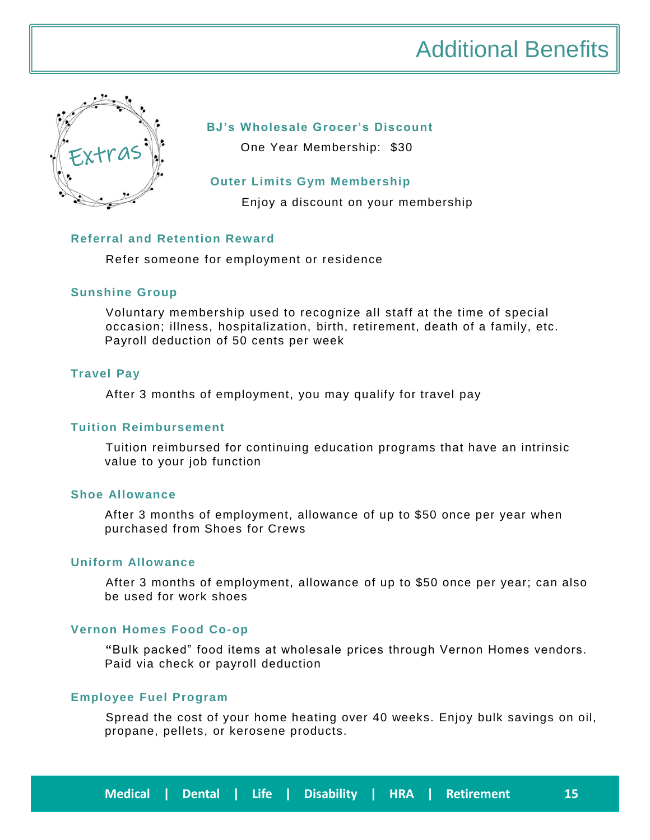

### **BJ's Wholesale Grocer's Discount**

One Year Membership: \$30

### **Outer Limits Gym Membership**

Enjoy a discount on your membership

### **Referral and Retention Reward**

Refer someone for employment or residence

### **Sunshine Group**

Voluntary membership used to recognize all staff at the time of special occasion; illness, hospitalization, birth, retirement, death of a family, etc. Payroll deduction of 50 cents per week

### **Travel Pay**

After 3 months of employment, you may qualify for travel pay

### **Tuition Reimbursement**

Tuition reimbursed for continuing education programs that have an intrinsic value to your job function

### **Shoe Allowance**

After 3 months of employment, allowance of up to \$50 once per year when purchased from Shoes for Crews

### **Uniform Allowance**

After 3 months of employment, allowance of up to \$50 once per year; can also be used for work shoes

### **Vernon Homes Food Co-op**

**"**Bulk packed" food items at wholesale prices through Vernon Homes vendors. Paid via check or payroll deduction

### **Employee Fuel Program**

Spread the cost of your home heating over 40 weeks. Enjoy bulk savings on oil, propane, pellets, or kerosene products.